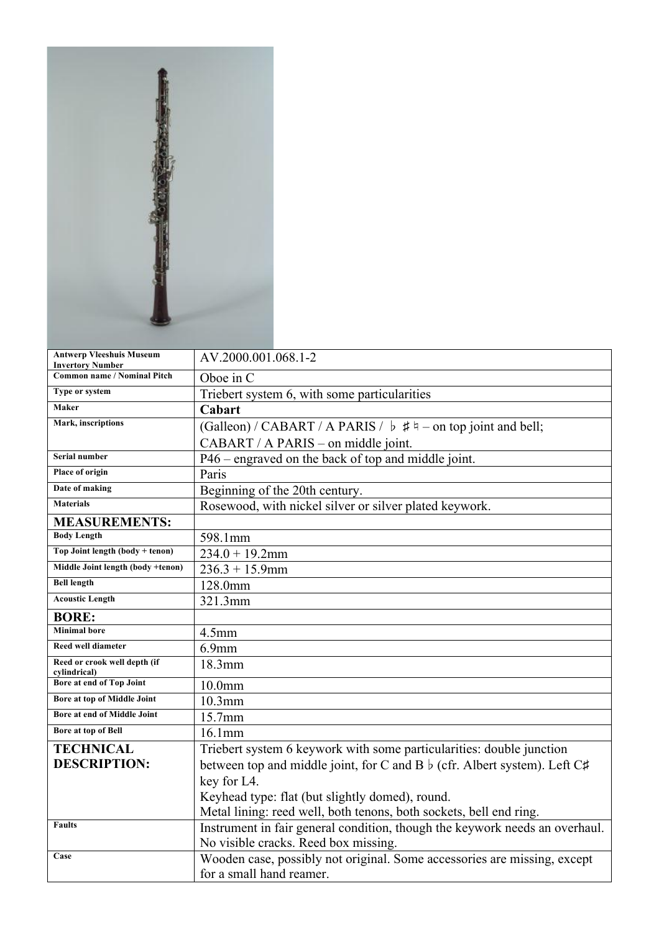| <b>Antwerp Vleeshuis Museum</b><br><b>Invertory Number</b> | AV.2000.001.068.1-2                                                             |
|------------------------------------------------------------|---------------------------------------------------------------------------------|
| <b>Common name / Nominal Pitch</b>                         | Oboe in C                                                                       |
| Type or system                                             | Triebert system 6, with some particularities                                    |
| Maker                                                      | Cabart                                                                          |
| Mark, inscriptions                                         | (Galleon) / CABART / A PARIS / $\flat$ # $\dagger$ - on top joint and bell;     |
|                                                            | CABART / A PARIS – on middle joint.                                             |
| Serial number                                              | P46 – engraved on the back of top and middle joint.                             |
| Place of origin                                            | Paris                                                                           |
| Date of making                                             | Beginning of the 20th century.                                                  |
| <b>Materials</b>                                           | Rosewood, with nickel silver or silver plated keywork.                          |
| <b>MEASUREMENTS:</b>                                       |                                                                                 |
| <b>Body Length</b>                                         | 598.1mm                                                                         |
| Top Joint length (body + tenon)                            | $234.0 + 19.2$ mm                                                               |
| Middle Joint length (body +tenon)                          | $236.3 + 15.9$ mm                                                               |
| <b>Bell length</b>                                         | 128.0mm                                                                         |
| <b>Acoustic Length</b>                                     | 321.3mm                                                                         |
| <b>BORE:</b>                                               |                                                                                 |
| <b>Minimal bore</b>                                        | 4.5 <sub>mm</sub>                                                               |
| Reed well diameter                                         | $6.9$ mm                                                                        |
| Reed or crook well depth (if<br>cylindrical)               | 18.3mm                                                                          |
| Bore at end of Top Joint                                   | 10.0 <sub>mm</sub>                                                              |
| Bore at top of Middle Joint                                | $10.3$ mm                                                                       |
| Bore at end of Middle Joint                                | 15.7mm                                                                          |
| Bore at top of Bell                                        | $16.1$ mm                                                                       |
| <b>TECHNICAL</b>                                           | Triebert system 6 keywork with some particularities: double junction            |
| <b>DESCRIPTION:</b>                                        | between top and middle joint, for C and B $\flat$ (cfr. Albert system). Left C# |
|                                                            | key for L4.                                                                     |
|                                                            | Keyhead type: flat (but slightly domed), round.                                 |
|                                                            | Metal lining: reed well, both tenons, both sockets, bell end ring.              |
| <b>Faults</b>                                              | Instrument in fair general condition, though the keywork needs an overhaul.     |
|                                                            | No visible cracks. Reed box missing.                                            |
| Case                                                       | Wooden case, possibly not original. Some accessories are missing, except        |
|                                                            | for a small hand reamer.                                                        |